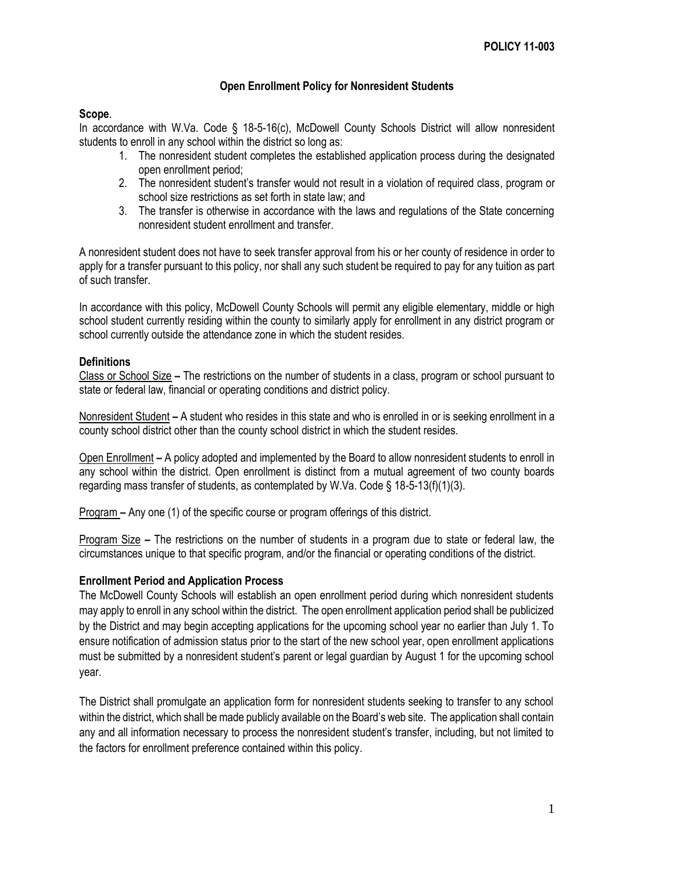### **Open Enrollment Policy for Nonresident Students**

#### **Scope**.

In accordance with W.Va. Code § 18-5-16(c), McDowell County Schools District will allow nonresident students to enroll in any school within the district so long as:

- 1. The nonresident student completes the established application process during the designated open enrollment period;
- 2. The nonresident student's transfer would not result in a violation of required class, program or school size restrictions as set forth in state law; and
- 3. The transfer is otherwise in accordance with the laws and regulations of the State concerning nonresident student enrollment and transfer.

A nonresident student does not have to seek transfer approval from his or her county of residence in order to apply for a transfer pursuant to this policy, nor shall any such student be required to pay for any tuition as part of such transfer.

In accordance with this policy, McDowell County Schools will permit any eligible elementary, middle or high school student currently residing within the county to similarly apply for enrollment in any district program or school currently outside the attendance zone in which the student resides.

#### **Definitions**

Class or School Size **–** The restrictions on the number of students in a class, program or school pursuant to state or federal law, financial or operating conditions and district policy.

Nonresident Student **–** A student who resides in this state and who is enrolled in or is seeking enrollment in a county school district other than the county school district in which the student resides.

Open Enrollment **–** A policy adopted and implemented by the Board to allow nonresident students to enroll in any school within the district. Open enrollment is distinct from a mutual agreement of two county boards regarding mass transfer of students, as contemplated by W.Va. Code § 18-5-13(f)(1)(3).

Program **–** Any one (1) of the specific course or program offerings of this district.

Program Size **–** The restrictions on the number of students in a program due to state or federal law, the circumstances unique to that specific program, and/or the financial or operating conditions of the district.

### **Enrollment Period and Application Process**

The McDowell County Schools will establish an open enrollment period during which nonresident students may apply to enroll in any school within the district. The open enrollment application period shall be publicized by the District and may begin accepting applications for the upcoming school year no earlier than July 1. To ensure notification of admission status prior to the start of the new school year, open enrollment applications must be submitted by a nonresident student's parent or legal guardian by August 1 for the upcoming school year.

The District shall promulgate an application form for nonresident students seeking to transfer to any school within the district, which shall be made publicly available on the Board's web site. The application shall contain any and all information necessary to process the nonresident student's transfer, including, but not limited to the factors for enrollment preference contained within this policy.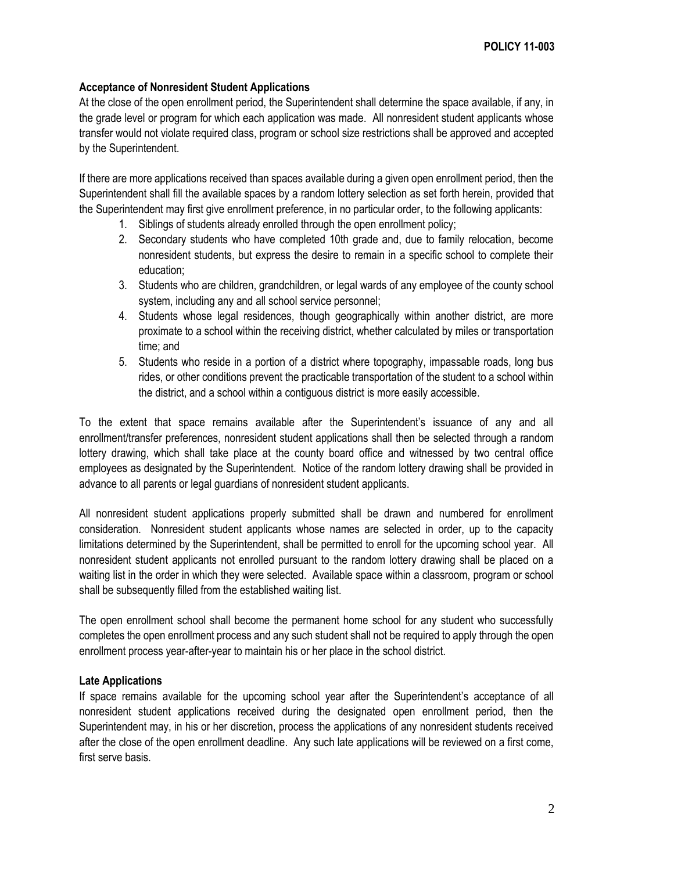### **Acceptance of Nonresident Student Applications**

At the close of the open enrollment period, the Superintendent shall determine the space available, if any, in the grade level or program for which each application was made. All nonresident student applicants whose transfer would not violate required class, program or school size restrictions shall be approved and accepted by the Superintendent.

If there are more applications received than spaces available during a given open enrollment period, then the Superintendent shall fill the available spaces by a random lottery selection as set forth herein, provided that the Superintendent may first give enrollment preference, in no particular order, to the following applicants:

- 1. Siblings of students already enrolled through the open enrollment policy;
- 2. Secondary students who have completed 10th grade and, due to family relocation, become nonresident students, but express the desire to remain in a specific school to complete their education;
- 3. Students who are children, grandchildren, or legal wards of any employee of the county school system, including any and all school service personnel;
- 4. Students whose legal residences, though geographically within another district, are more proximate to a school within the receiving district, whether calculated by miles or transportation time; and
- 5. Students who reside in a portion of a district where topography, impassable roads, long bus rides, or other conditions prevent the practicable transportation of the student to a school within the district, and a school within a contiguous district is more easily accessible.

To the extent that space remains available after the Superintendent's issuance of any and all enrollment/transfer preferences, nonresident student applications shall then be selected through a random lottery drawing, which shall take place at the county board office and witnessed by two central office employees as designated by the Superintendent. Notice of the random lottery drawing shall be provided in advance to all parents or legal guardians of nonresident student applicants.

All nonresident student applications properly submitted shall be drawn and numbered for enrollment consideration. Nonresident student applicants whose names are selected in order, up to the capacity limitations determined by the Superintendent, shall be permitted to enroll for the upcoming school year. All nonresident student applicants not enrolled pursuant to the random lottery drawing shall be placed on a waiting list in the order in which they were selected. Available space within a classroom, program or school shall be subsequently filled from the established waiting list.

The open enrollment school shall become the permanent home school for any student who successfully completes the open enrollment process and any such student shall not be required to apply through the open enrollment process year-after-year to maintain his or her place in the school district.

### **Late Applications**

If space remains available for the upcoming school year after the Superintendent's acceptance of all nonresident student applications received during the designated open enrollment period, then the Superintendent may, in his or her discretion, process the applications of any nonresident students received after the close of the open enrollment deadline. Any such late applications will be reviewed on a first come, first serve basis.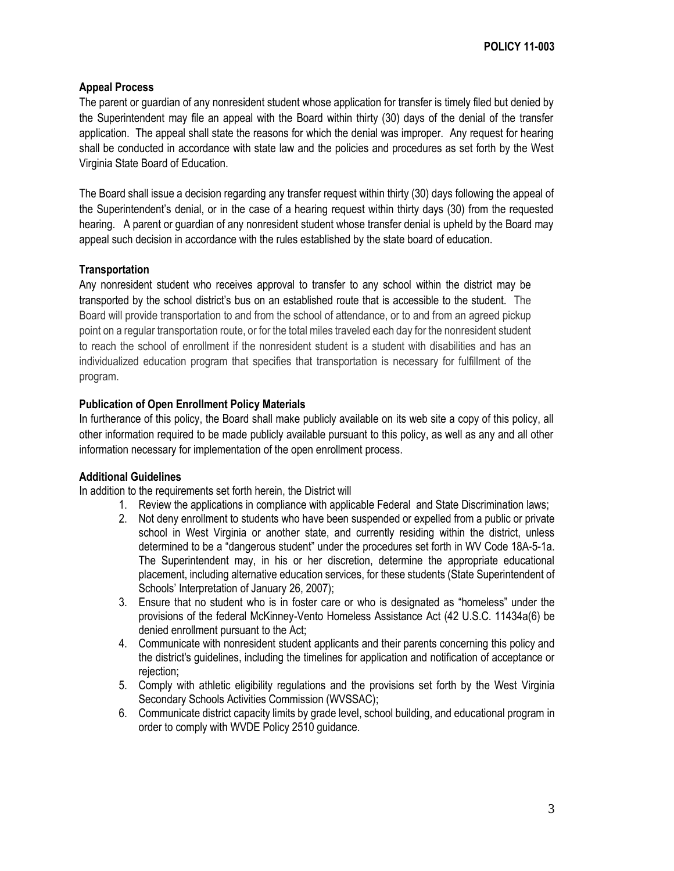# **Appeal Process**

The parent or guardian of any nonresident student whose application for transfer is timely filed but denied by the Superintendent may file an appeal with the Board within thirty (30) days of the denial of the transfer application. The appeal shall state the reasons for which the denial was improper. Any request for hearing shall be conducted in accordance with state law and the policies and procedures as set forth by the West Virginia State Board of Education.

The Board shall issue a decision regarding any transfer request within thirty (30) days following the appeal of the Superintendent's denial, or in the case of a hearing request within thirty days (30) from the requested hearing. A parent or guardian of any nonresident student whose transfer denial is upheld by the Board may appeal such decision in accordance with the rules established by the state board of education.

# **Transportation**

Any nonresident student who receives approval to transfer to any school within the district may be transported by the school district's bus on an established route that is accessible to the student. The Board will provide transportation to and from the school of attendance, or to and from an agreed pickup point on a regular transportation route, or for the total miles traveled each day for the nonresident student to reach the school of enrollment if the nonresident student is a student with disabilities and has an individualized education program that specifies that transportation is necessary for fulfillment of the program.

# **Publication of Open Enrollment Policy Materials**

In furtherance of this policy, the Board shall make publicly available on its web site a copy of this policy, all other information required to be made publicly available pursuant to this policy, as well as any and all other information necessary for implementation of the open enrollment process.

### **Additional Guidelines**

In addition to the requirements set forth herein, the District will

- 1. Review the applications in compliance with applicable Federal and State Discrimination laws;
- 2. Not deny enrollment to students who have been suspended or expelled from a public or private school in West Virginia or another state, and currently residing within the district, unless determined to be a "dangerous student" under the procedures set forth in WV Code 18A-5-1a. The Superintendent may, in his or her discretion, determine the appropriate educational placement, including alternative education services, for these students (State Superintendent of Schools' Interpretation of January 26, 2007);
- 3. Ensure that no student who is in foster care or who is designated as "homeless" under the provisions of the federal McKinney-Vento Homeless Assistance Act (42 U.S.C. 11434a(6) be denied enrollment pursuant to the Act;
- 4. Communicate with nonresident student applicants and their parents concerning this policy and the district's guidelines, including the timelines for application and notification of acceptance or rejection;
- 5. Comply with athletic eligibility regulations and the provisions set forth by the West Virginia Secondary Schools Activities Commission (WVSSAC);
- 6. Communicate district capacity limits by grade level, school building, and educational program in order to comply with WVDE Policy 2510 guidance.